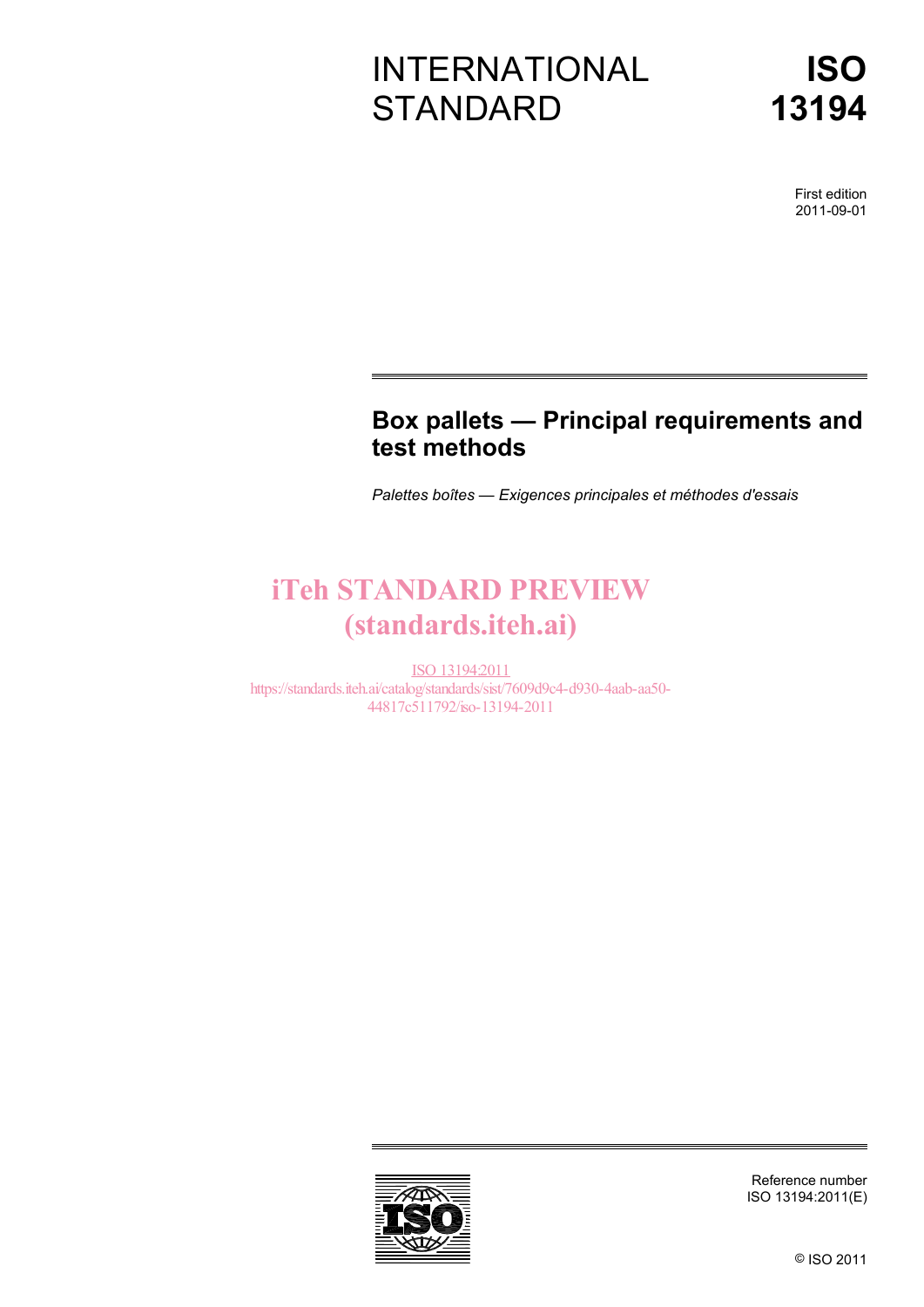# INTERNATIONAL **STANDARD**

First edition 2011-09-01

## **Box pallets — Principal requirements and test methods**

*Palettes boîtes — Exigences principales et méthodes d'essais* 

# iTeh STANDARD PREVIEW (standards.iteh.ai)

ISO 13194:2011 https://standards.iteh.ai/catalog/standards/sist/7609d9c4-d930-4aab-aa50- 44817c511792/iso-13194-2011



Reference number ISO 13194:2011(E)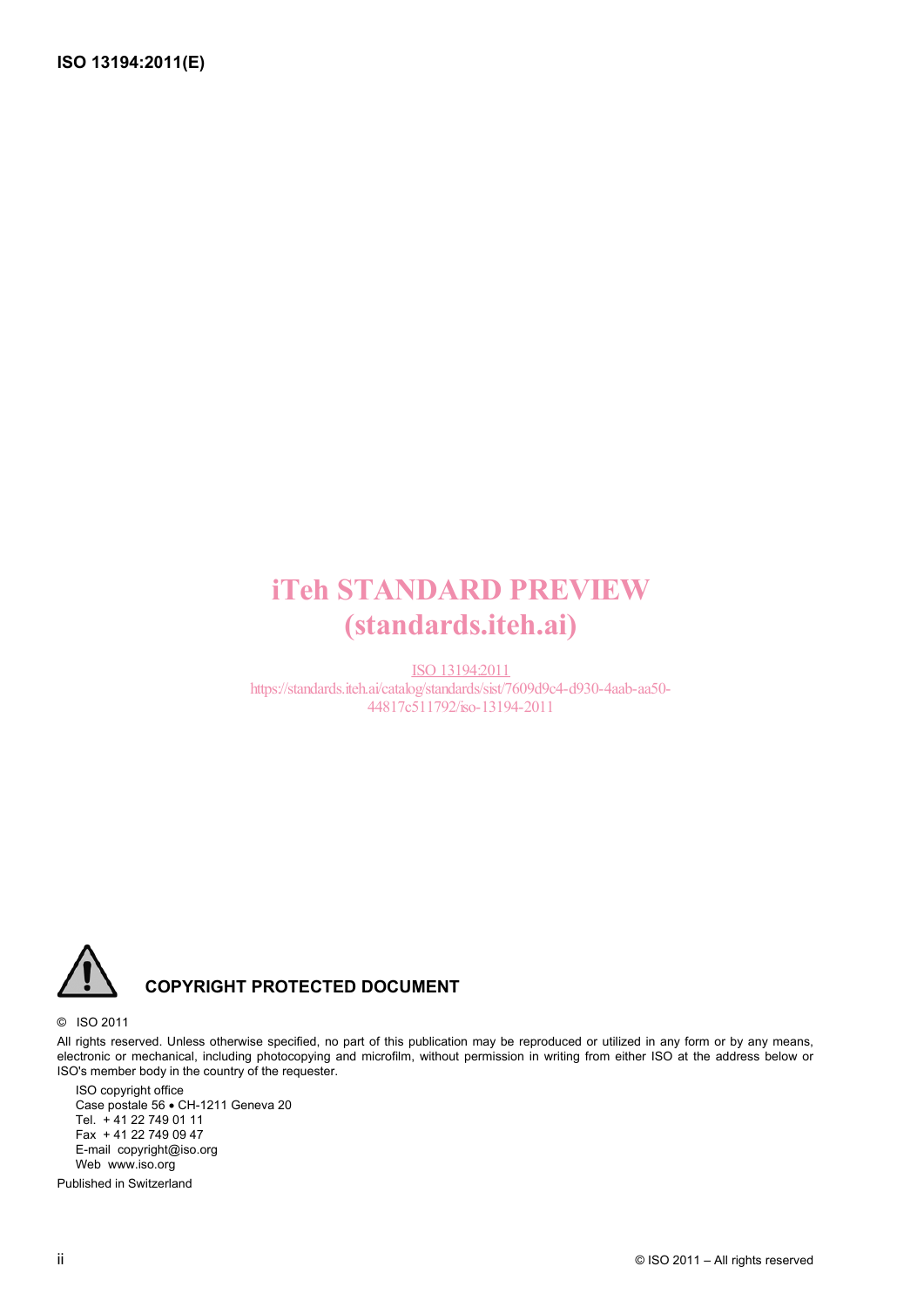## iTeh STANDARD PREVIEW (standards.iteh.ai)

ISO 13194:2011 https://standards.iteh.ai/catalog/standards/sist/7609d9c4-d930-4aab-aa50- 44817c511792/iso-13194-2011



### **COPYRIGHT PROTECTED DOCUMENT**

#### © ISO 2011

All rights reserved. Unless otherwise specified, no part of this publication may be reproduced or utilized in any form or by any means, electronic or mechanical, including photocopying and microfilm, without permission in writing from either ISO at the address below or ISO's member body in the country of the requester.

ISO copyright office Case postale 56 · CH-1211 Geneva 20 Tel. + 41 22 749 01 11 Fax + 41 22 749 09 47 E-mail copyright@iso.org Web www.iso.org

Published in Switzerland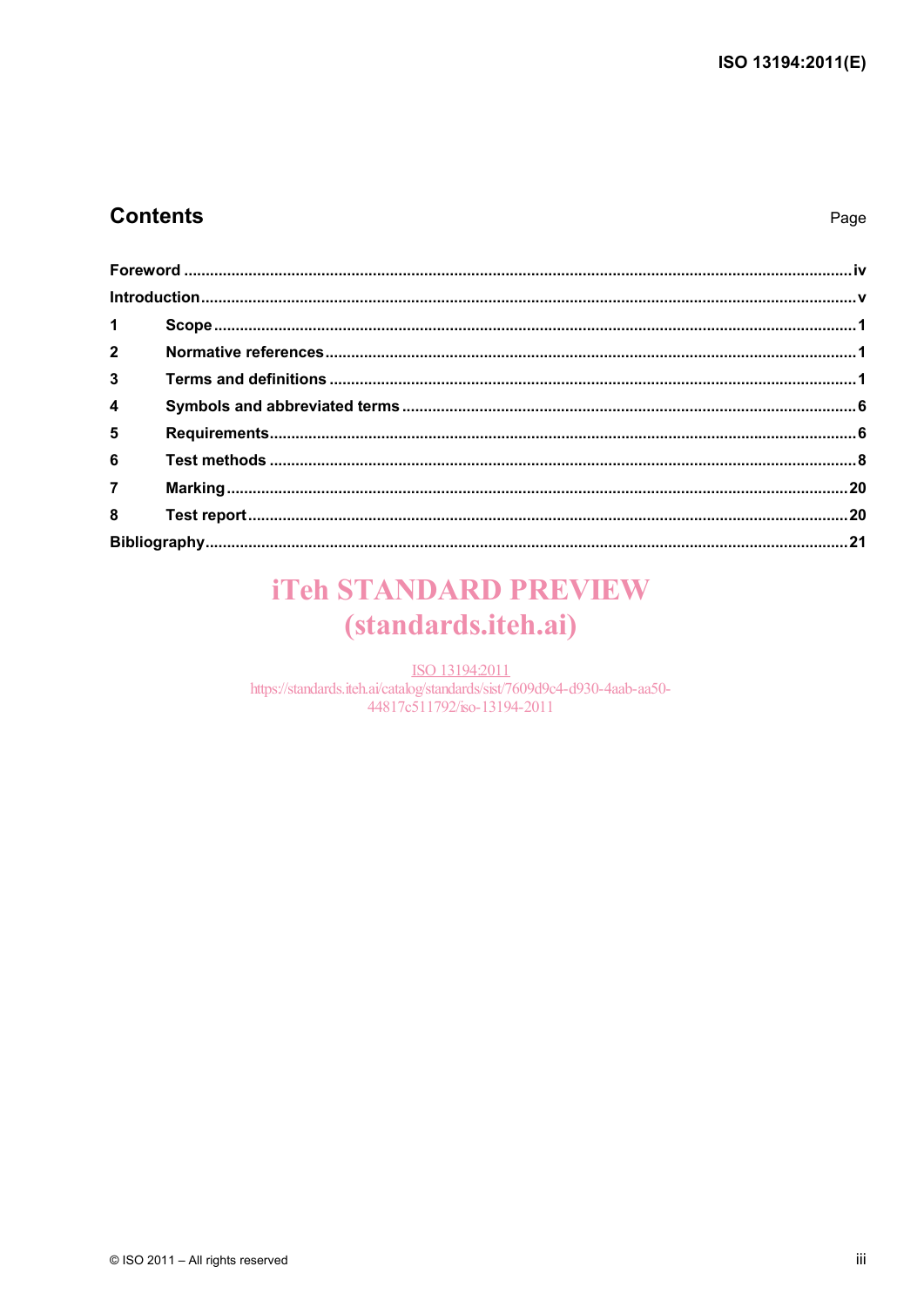### **Contents**

Page

| 1 <sup>1</sup>          |  |  |
|-------------------------|--|--|
| $\overline{2}$          |  |  |
| $\overline{3}$          |  |  |
| $\overline{\mathbf{4}}$ |  |  |
| 5                       |  |  |
| $6\phantom{a}$          |  |  |
| $\overline{7}$          |  |  |
| 8                       |  |  |
|                         |  |  |
|                         |  |  |

# **iTeh STANDARD PREVIEW** (standards.iteh.ai)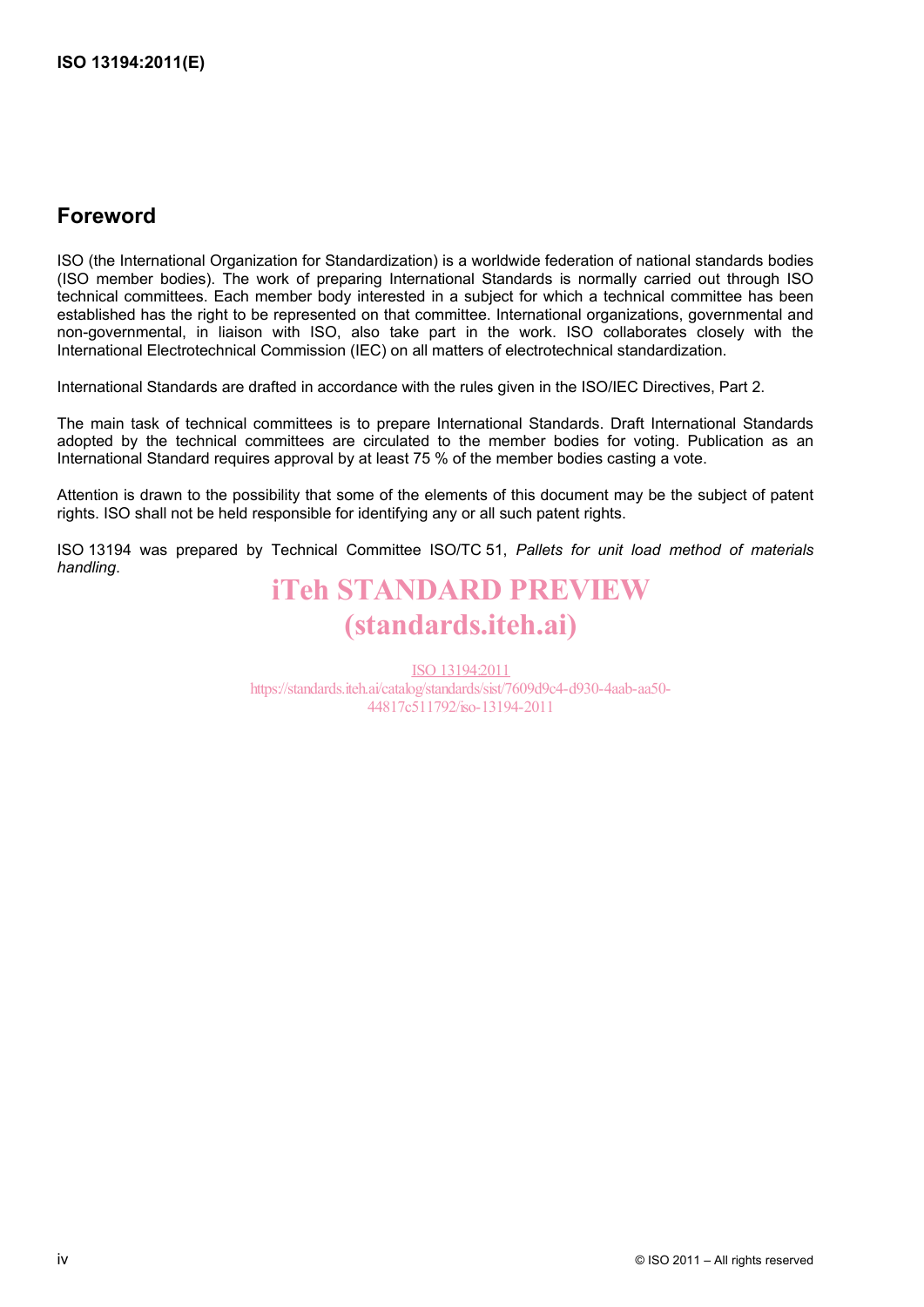### **Foreword**

ISO (the International Organization for Standardization) is a worldwide federation of national standards bodies (ISO member bodies). The work of preparing International Standards is normally carried out through ISO technical committees. Each member body interested in a subject for which a technical committee has been established has the right to be represented on that committee. International organizations, governmental and non-governmental, in liaison with ISO, also take part in the work. ISO collaborates closely with the International Electrotechnical Commission (IEC) on all matters of electrotechnical standardization.

International Standards are drafted in accordance with the rules given in the ISO/IEC Directives, Part 2.

The main task of technical committees is to prepare International Standards. Draft International Standards adopted by the technical committees are circulated to the member bodies for voting. Publication as an International Standard requires approval by at least 75 % of the member bodies casting a vote.

Attention is drawn to the possibility that some of the elements of this document may be the subject of patent rights. ISO shall not be held responsible for identifying any or all such patent rights.

ISO 13194 was prepared by Technical Committee ISO/TC 51, *Pallets for unit load method of materials handling*.

## iTeh STANDARD PREVIEW (standards.iteh.ai)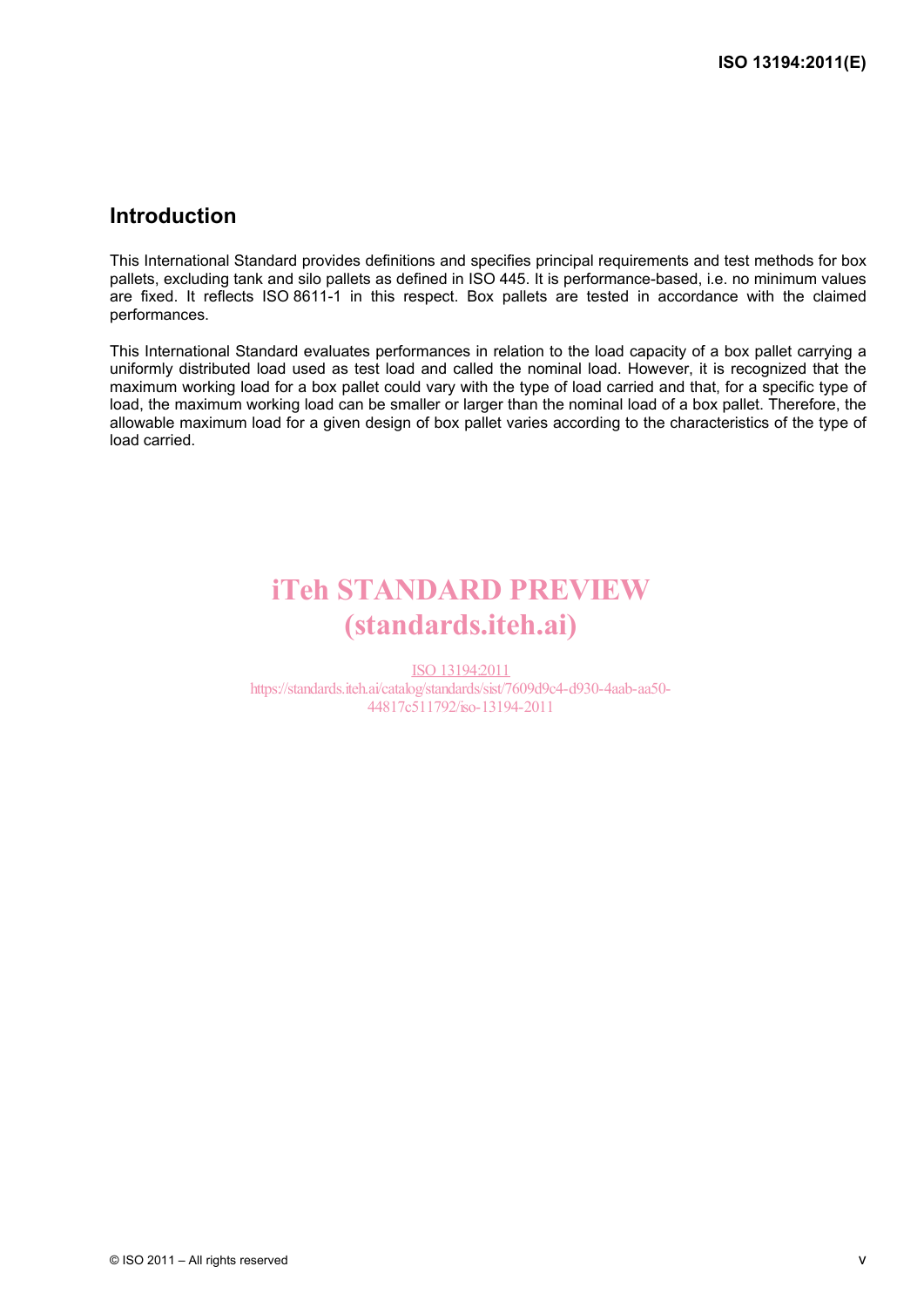### **Introduction**

This International Standard provides definitions and specifies principal requirements and test methods for box pallets, excluding tank and silo pallets as defined in ISO 445. It is performance-based, i.e. no minimum values are fixed. It reflects ISO 8611-1 in this respect. Box pallets are tested in accordance with the claimed performances.

This International Standard evaluates performances in relation to the load capacity of a box pallet carrying a uniformly distributed load used as test load and called the nominal load. However, it is recognized that the maximum working load for a box pallet could vary with the type of load carried and that, for a specific type of load, the maximum working load can be smaller or larger than the nominal load of a box pallet. Therefore, the allowable maximum load for a given design of box pallet varies according to the characteristics of the type of load carried.

## iTeh STANDARD PREVIEW (standards.iteh.ai)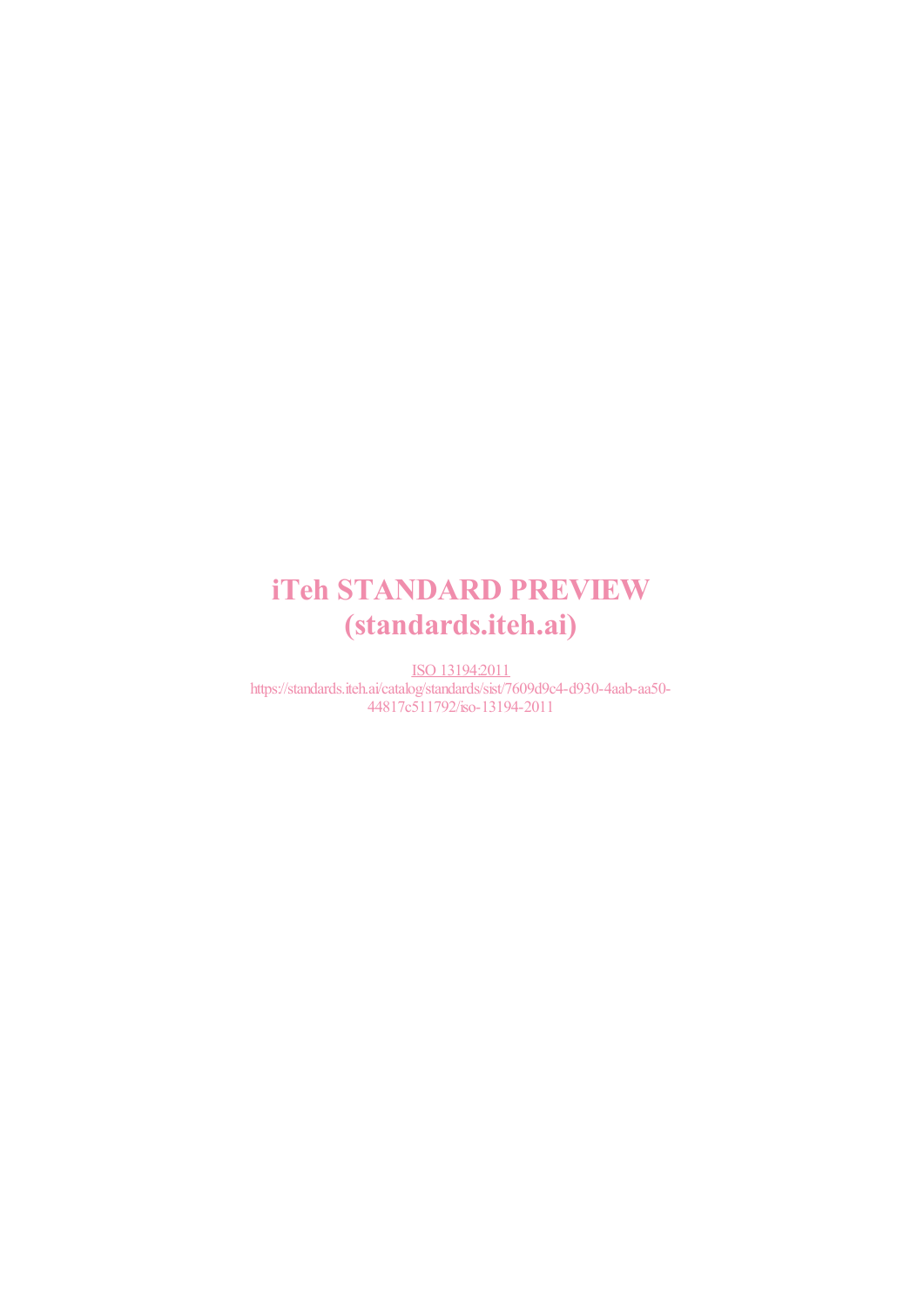# iTeh STANDARD PREVIEW (standards.iteh.ai)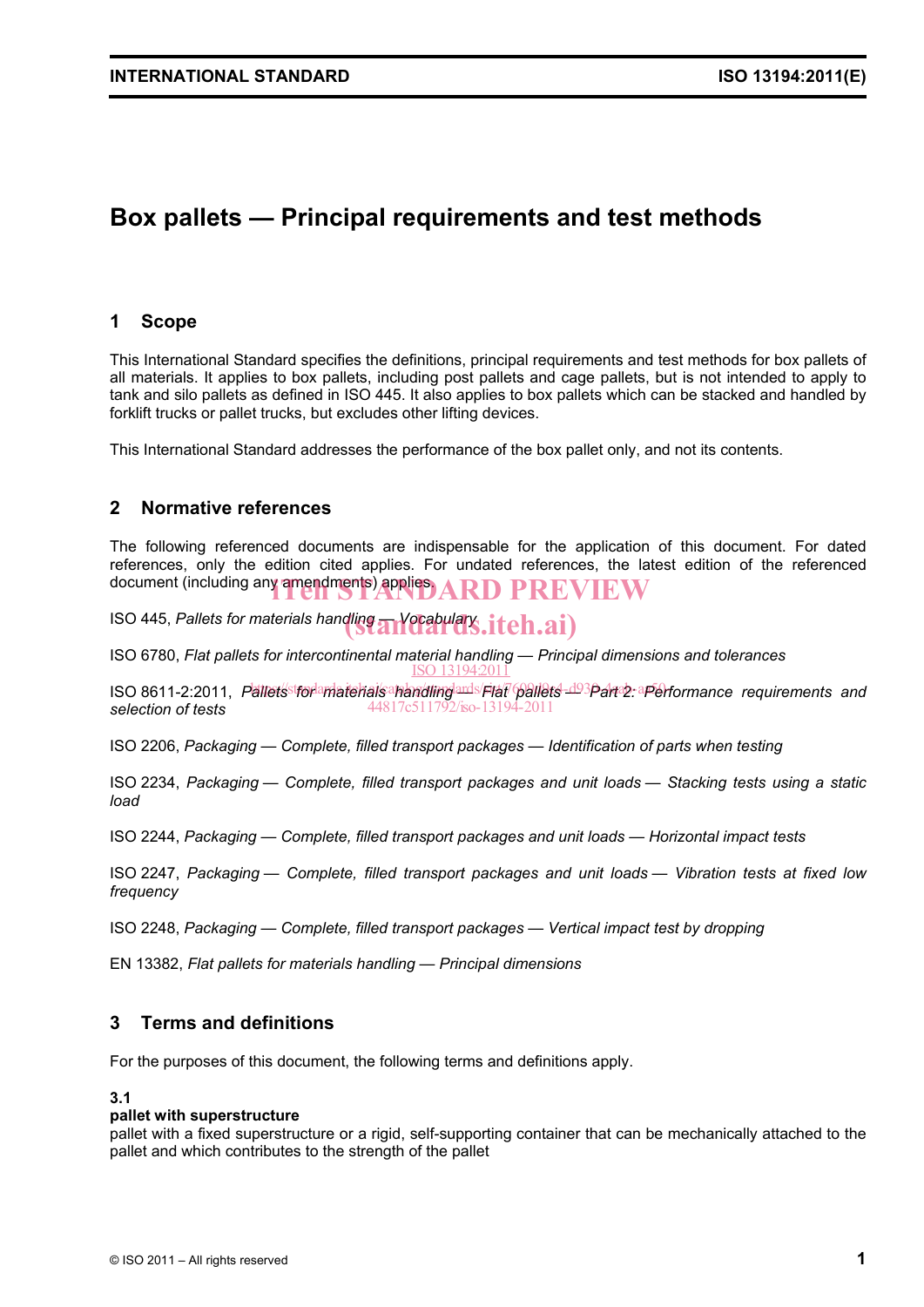## **Box pallets — Principal requirements and test methods**

#### **1 Scope**

This International Standard specifies the definitions, principal requirements and test methods for box pallets of all materials. It applies to box pallets, including post pallets and cage pallets, but is not intended to apply to tank and silo pallets as defined in ISO 445. It also applies to box pallets which can be stacked and handled by forklift trucks or pallet trucks, but excludes other lifting devices.

This International Standard addresses the performance of the box pallet only, and not its contents.

#### **2 Normative references**

The following referenced documents are indispensable for the application of this document. For dated references, only the edition cited applies. For undated references, the latest edition of the referenced document (including any amendments) applies  $ARD$   $PREV$   $EW$ 

ISO 445, *Pallets for materials handling* **AYOFAPUAY, itch.ai**)

ISO 6780, *Flat pallets for intercontinental material handling — Principal dimensions and tolerances* ISO 13194

ISO 8611-2:2011, Pallets<sup>ist</sup>for *materials* thandling ads/Fiall pallets 193Part of a Ferformance requirements and *selection of tests* 44817c511792/iso-13194-2011

ISO 2206, *Packaging — Complete, filled transport packages — Identification of parts when testing*

ISO 2234, *Packaging — Complete, filled transport packages and unit loads — Stacking tests using a static load*

ISO 2244, *Packaging — Complete, filled transport packages and unit loads — Horizontal impact tests*

ISO 2247, *Packaging — Complete, filled transport packages and unit loads — Vibration tests at fixed low frequency*

ISO 2248, *Packaging — Complete, filled transport packages — Vertical impact test by dropping*

EN 13382, *Flat pallets for materials handling — Principal dimensions* 

#### **3 Terms and definitions**

For the purposes of this document, the following terms and definitions apply.

#### **3.1**

#### **pallet with superstructure**

pallet with a fixed superstructure or a rigid, self-supporting container that can be mechanically attached to the pallet and which contributes to the strength of the pallet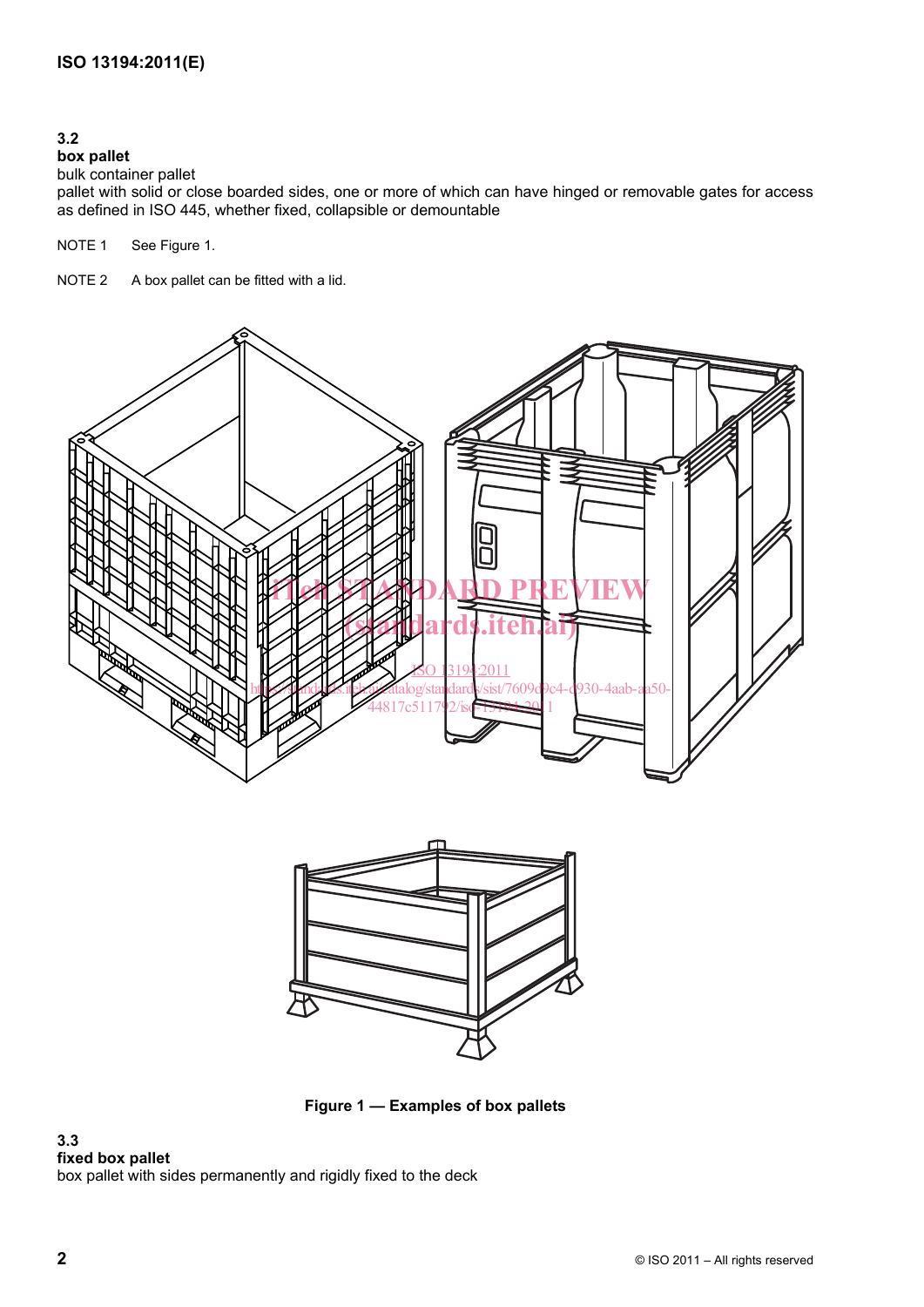#### **3.2**

#### **box pallet**

bulk container pallet

pallet with solid or close boarded sides, one or more of which can have hinged or removable gates for access as defined in ISO 445, whether fixed, collapsible or demountable

NOTE 1 See Figure 1.

NOTE 2 A box pallet can be fitted with a lid.





**Figure 1 — Examples of box pallets** 

#### **3.3 fixed box pallet**

box pallet with sides permanently and rigidly fixed to the deck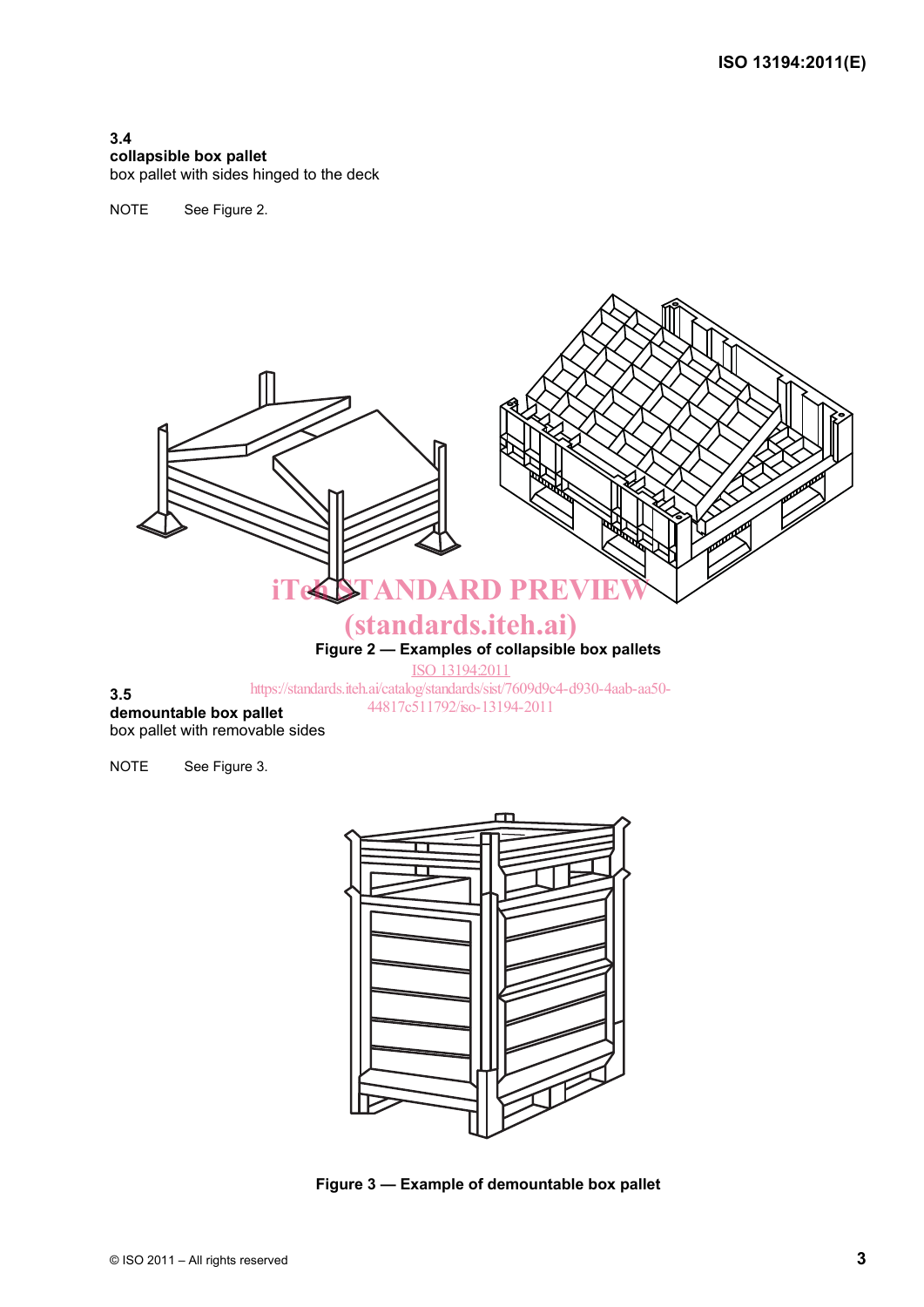**3.4 collapsible box pallet** 

box pallet with sides hinged to the deck

NOTE See Figure 2.



44817c511792/iso-13194-2011

**demountable box pallet** 

box pallet with removable sides

NOTE See Figure 3.



**Figure 3 — Example of demountable box pallet**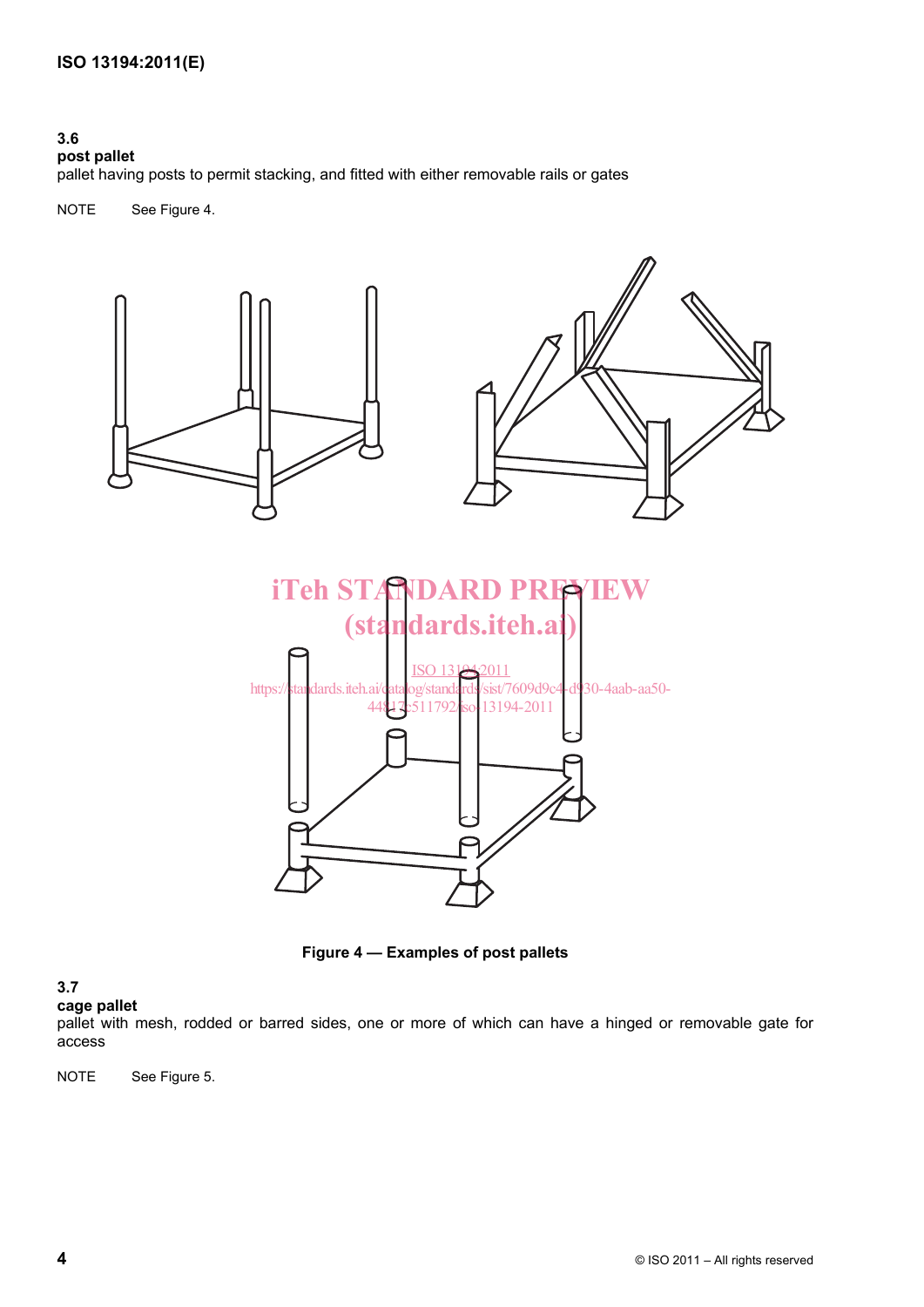### **3.6**

**post pallet**  pallet having posts to permit stacking, and fitted with either removable rails or gates

NOTE See Figure 4.



**Figure 4 — Examples of post pallets** 

#### **3.7**

**cage pallet** 

pallet with mesh, rodded or barred sides, one or more of which can have a hinged or removable gate for access

NOTE See Figure 5.